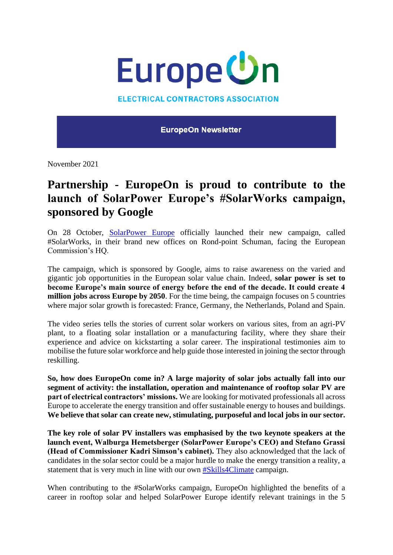

**ELECTRICAL CONTRACTORS ASSOCIATION** 

**EuropeOn Newsletter** 

November 2021

## **Partnership - EuropeOn is proud to contribute to the launch of SolarPower Europe's #SolarWorks campaign, sponsored by Google**

On 28 October, SolarPower Europe officially launched their new campaign, called #SolarWorks, in their brand new offices on Rond-point Schuman, facing the European Commission's HQ.

The campaign, which is sponsored by Google, aims to raise awareness on the varied and gigantic job opportunities in the European solar value chain. Indeed, **solar power is set to become Europe's main source of energy before the end of the decade. It could create 4 million jobs across Europe by 2050**. For the time being, the campaign focuses on 5 countries where major solar growth is forecasted: France, Germany, the Netherlands, Poland and Spain.

The video series tells the stories of current solar workers on various sites, from an agri-PV plant, to a floating solar installation or a manufacturing facility, where they share their experience and advice on kickstarting a solar career. The inspirational testimonies aim to mobilise the future solar workforce and help guide those interested in joining the sector through reskilling.

**So, how does EuropeOn come in? A large majority of solar jobs actually fall into our segment of activity: the installation, operation and maintenance of rooftop solar PV are part of electrical contractors' missions.** We are looking for motivated professionals all across Europe to accelerate the energy transition and offer sustainable energy to houses and buildings. **We believe that solar can create new, stimulating, purposeful and local jobs in our sector.**

**The key role of solar PV installers was emphasised by the two keynote speakers at the launch event, Walburga Hemetsberger (SolarPower Europe's CEO) and Stefano Grassi (Head of Commissioner Kadri Simson's cabinet).** They also acknowledged that the lack of candidates in the solar sector could be a major hurdle to make the energy transition a reality, a statement that is very much in line with our own #Skills4Climate campaign.

When contributing to the #SolarWorks campaign, EuropeOn highlighted the benefits of a career in rooftop solar and helped SolarPower Europe identify relevant trainings in the 5